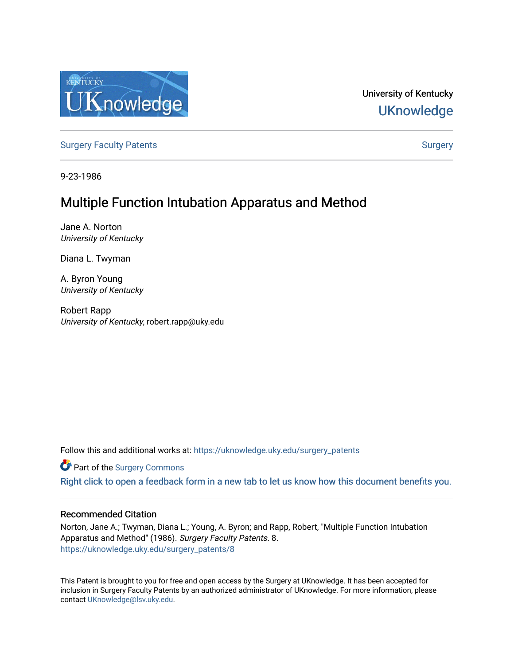

University of Kentucky **UKnowledge** 

[Surgery Faculty Patents](https://uknowledge.uky.edu/surgery_patents) **Surgery** Surgery

9-23-1986

# Multiple Function Intubation Apparatus and Method

Jane A. Norton University of Kentucky

Diana L. Twyman

A. Byron Young University of Kentucky

Robert Rapp University of Kentucky, robert.rapp@uky.edu

Follow this and additional works at: [https://uknowledge.uky.edu/surgery\\_patents](https://uknowledge.uky.edu/surgery_patents?utm_source=uknowledge.uky.edu%2Fsurgery_patents%2F8&utm_medium=PDF&utm_campaign=PDFCoverPages) 

Part of the [Surgery Commons](http://network.bepress.com/hgg/discipline/706?utm_source=uknowledge.uky.edu%2Fsurgery_patents%2F8&utm_medium=PDF&utm_campaign=PDFCoverPages) 

[Right click to open a feedback form in a new tab to let us know how this document benefits you.](https://uky.az1.qualtrics.com/jfe/form/SV_9mq8fx2GnONRfz7)

# Recommended Citation

Norton, Jane A.; Twyman, Diana L.; Young, A. Byron; and Rapp, Robert, "Multiple Function Intubation Apparatus and Method" (1986). Surgery Faculty Patents. 8. [https://uknowledge.uky.edu/surgery\\_patents/8](https://uknowledge.uky.edu/surgery_patents/8?utm_source=uknowledge.uky.edu%2Fsurgery_patents%2F8&utm_medium=PDF&utm_campaign=PDFCoverPages)

This Patent is brought to you for free and open access by the Surgery at UKnowledge. It has been accepted for inclusion in Surgery Faculty Patents by an authorized administrator of UKnowledge. For more information, please contact [UKnowledge@lsv.uky.edu](mailto:UKnowledge@lsv.uky.edu).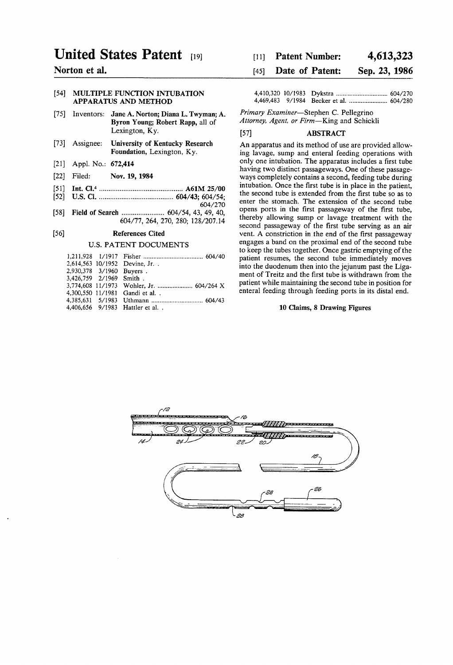# United States Patent [19] [11] Patent Number: 4,613,323

# [54] MULTIPLE FUNCTION INTUBATION APPARATUS AND METHOD

- [75] Inventors: Jane A. Norton; Diana L. Twyman; A. Primary Examiner—Stephen C. Pellegrino Byron Young; Robert Rapp, all of Attorney, Agent, or Firm—King and Schickli Lexington, Ky. [57] ABSTRACT
- [73] Assignee: University of Kentucky Research An apparatus and its method of use are provided allow-<br>Foundation, Lexington, Ky. ing layage, sump and enteral feeding operations with
- 
- 
- $511$
- 
- 

|                          | 2.614.563 10/1952 Devine, Jr.     |
|--------------------------|-----------------------------------|
| 2,930,378 3/1960 Buyers. |                                   |
| 3.426.759 2/1969 Smith.  |                                   |
|                          |                                   |
|                          | 4,300,550 11/1981 Gandi et al. .  |
|                          |                                   |
|                          | 4.406.656 9/1983 Hattler et al. . |

# Norton et al. [45] Date of Patent: Sep. 23, 1986

ing lavage, sump and enteral feeding operations with [21] Appl. No.: 672,414 only one intubation. The apparatus includes a first tube that includes a first tube that the three passage-<br>  $\frac{122}{12}$  Filed: Nov. 19, 1984 wavs completely contains a second, feeding tube during ways completely contains a second, feeding tube during intubation. Once the first tube is in place in the patient, the second tube is extended from the first tube so as to the second tube is extended from the ?rst tube so as to ' ' ' """""""""""""""""" " '6O4/276 enter the stomach. The extenslon of the second tube [58] Field of Search ..................... .. 604/54 43 49 40 °Pens Pom 1". 'he ?rst passageway "f the ?rs.' tube'  $\begin{array}{r}\n\text{60-777}, \text{20-727}, \text{20-720}, \text{200}, \text{128720}, \text{14}\n\text{second passageway of the first tube serving as an air\n\end{array}$ [56] References Cited vent. A constriction in the end of the first passageway U.S. PATENT DOCUMENTS engages a band on the proximal end of the second tube to keep the tubes together. Once gastric emptying of the patient resumes, the second tube immediately moves into the duodenum then into the jejunum past the Ligament of Treitz and the first tube is withdrawn from the patient while maintaining the second tube in position for enteral feeding through feeding ports in its distal end.

### 10 Claims, 8 Drawing Figures

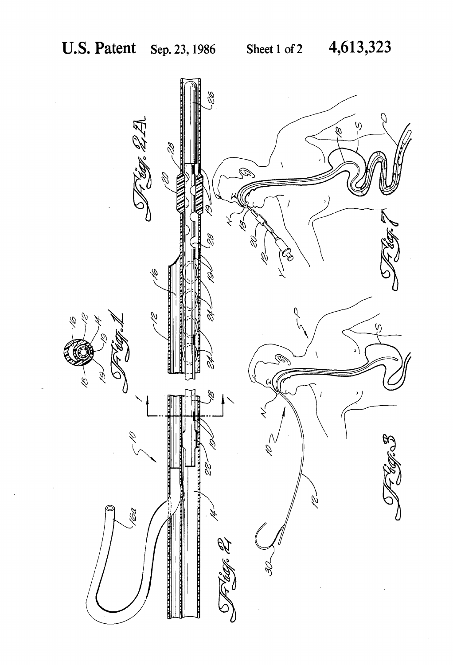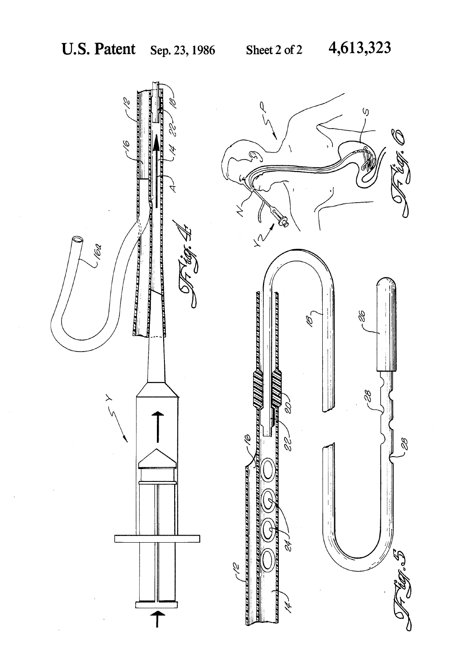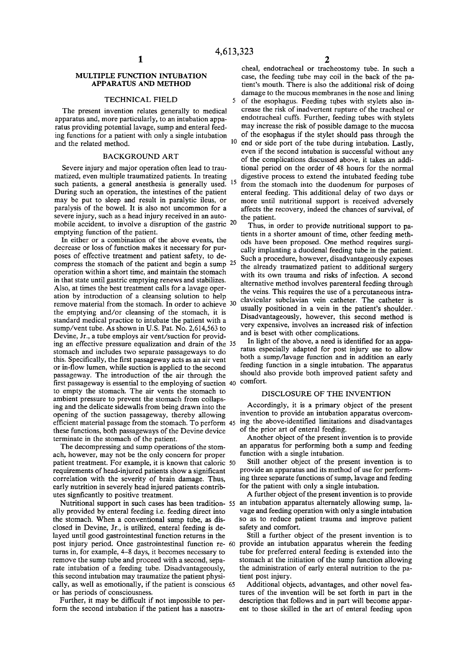## MULTIPLE FUNCTION INTUBATION APPARATUS AND METHOD

### TECHNICAL FIELD

The present invention relates generally to medical apparatus and, more particularly, to an intubation appa ratus providing potential lavage, sump and enteral feed ing functions for a patient with only a single intubation and the related method.

# BACKGROUND ART

Severe injury and major operation often lead to trau matized, even multiple traumatized patients. In treating such patients, a general anesthesia is generally used. <sup>15</sup> During such an operation, the intestines of the patient may be put to sleep and result in paralytic ileus, or paralysis of the bowel. It is also not uncommon for a severe injury, such as a head injury received in an auto mobile accident, to involve a disruption of the gastric 20 emptying function of the patient.

In either or a combination of the above events, the decrease or loss of function makes it necessary for pur poses of effective treatment and patient safety, to de compress the stomach of the patient and begin a sump 25 operation within a short time, and maintain the stomach in that state until gastric emptying renews and stabilizes. Also, at times the best treatment calls for a lavage oper ation by introduction of a cleansing solution to help remove material from the stomach. In order to achieve 30 the emptying and/or cleansing of the stomach, it is standard medical practice to intubate the patient with a sump/vent tube. As shown in U.S. Pat. No. 2,614,563 to Devine, Jr., a tube employs air vent/suction for provid ing an effective pressure equalization and drain of the 35 stomach and includes two separate passageways to do this. Specifically, the first passageway acts as an air vent or in-flow lumen, while suction is applied to the second passageway. The introduction of the air through the first passageway is essential to the employing of suction 40 to empty the stomach. The air vents the stomach to ambient pressure to prevent the stomach from collaps ing and the delicate sidewalls from being drawn into the opening of the suction passageway, thereby allowing efficient material passage from the stomach. To perform 45 these functions, both passageways of the Devine device terminate in the stomach of the patient.

The decompressing and sump operations of the stom ach, however, may not be the only concern for proper patient treatment. For example, it is known that caloric requirements of head-injured patients show a significant correlation with the severity of brain damage. Thus, early nutrition in severely head injured patients contrib utes signficantly to positive treatment.

ally provided by enteral feeding i.e. feeding direct into the stomach. When a conventional sump tube, as dis closed in Devine, Jr., is utilized, enteral feeding is de layed until good gastrointestinal function returns in the turns in, for example, 4-8 days, it becomes necessary to remove the sump tube and proceed with a second, sepa rate intubation of a feeding tube. Disadvantageously, this second intubation may traumatize the patient physi cally, as well as emotionally, if the patient is conscious or has periods of consciousness. 65

Further, it may be difficult if not impossible to per form the second intubation if the patient has a nasotra cheal, endotracheal or tracheostomy tube. In such a case, the feeding tube may coil in the back of the pa tient's mouth. There is also the additional risk of doing damage to the mucous membranes in the nose and lining

 $\overline{\mathbf{S}}$ of the esophagus. Feeding tubes with stylets also in crease the risk of inadvertent rupture of the tracheal or endotracheal cuffs. Further, feeding tubes with stylets may increase the risk of possible damage to the mucosa of the esophagus if the stylet should pass through the  $10$ end or side port of the tube during intubation. Lastly, even if the second intubation is successful without any of the complications discussed above, it takes an addi tional period on the order of 48 hours for the normal digestive process to extend the intubated feeding tube from the stomach into the duodenum for purposes of enteral feeding. This additional delay of two days or more until nutritional support is received adversely affects the recovery, indeed the chances of survival, of the patient.

Thus, in order to provide nutritional support to pa tients in a shorter amount of time, other feeding meth ods have been proposed. One method requires surgi cally implanting a duodenal feeding tube in the patient. Such a procedure, however, disadvantageously exposes the already traumatized patient to additional surgery with its own trauma and risks of infection. A second alternative method involves parenteral feeding through the veins. This requires the use of a percutaneous intra clavicular subclavian vein catheter. The catheter is usually positioned in a vein in the patient's shoulder.' Disadvantageously, however, this second method is very expensive, involves an increased risk of infection and is beset with other complications.

In light of the above, a need is identified for an apparatus especially adapted for post injury use to allow both a sump/lavage function and in addition an early feeding function in a single intubation. The apparatus should also provide both improved patient safety and comfort.

# DISCLOSURE OF THE INVENTION

Accordingly, it is a primary object of the present invention to provide an intubation apparatus overcom ing the above-identified limitations and disadvantages of the prior art of enteral feeding.

Another object of the present invention is to provide an apparatus for performing both a sump and feeding function with a single intubation.

Still another object of the present invention is to provide an apparatus and its method of use for perform ing three separate functions of sump, lavage and feeding for the patient with only a single intubation.

Nutritional support in such cases has been tradition- 55 an intubation apparatus alternately allowing sump, la-A further object of the present invention is to provide vage and feeding operation with only a single intubation so as to reduce patient trauma and improve patient safety and comfort.

post injury period. Once gastrointestinal function re provide an intubation apparatus wherein the feeding Still a further object of the present invention is to tube for preferred enteral feeding is extended into the stomach at the initiation of the sump function allowing the administration of early enteral nutrition to the pa tient post injury.

> Additional objects, advantages, and other novel fea tures of the invention will be set forth in part in the description that follows and in part will become appar ent to those skilled in the art of enteral feeding upon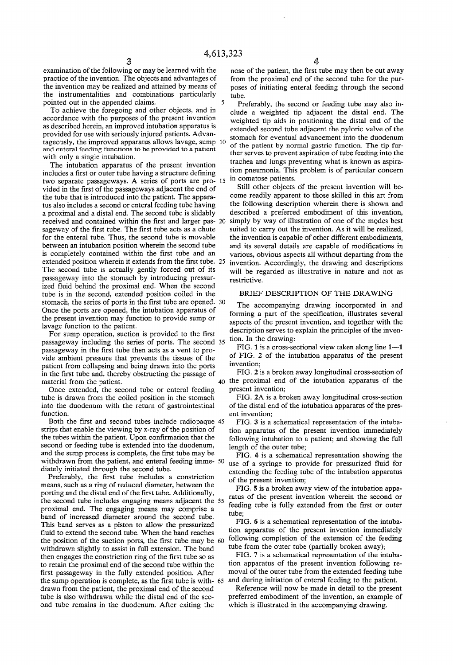examination of the following or may be learned with the practice of the invention. The objects and advantages of the invention may be realized and attained by means of the instrumentalities and combinations particularly pointed out in the appended claims.

To achieve the foregoing and other objects, and in accordance with the purposes of the present invention as described herein, an improved intubation apparatus is provided for use with seriously injured patients. Advan tageously, the improved apparatus allows lavage, sump and enteral feeding functions to be provided to a patient with only a single intubation.

The intubation apparatus of the present invention includes a first or outer tube having a structure defining two separate passageways. A series of ports are pro vided in the first of the passageways adjacent the end of the tube that is introduced into the patient. The appara tus also includes a second or enteral feeding tube having a proximal and a distal end. The second tube is slidably received and contained within the first and larger pas- 20 sageway of the first tube. The first tube acts as a chute for the enteral tube. Thus, the second tube is movable between an intubation position wherein the second tube is completely contained within the first tube and an extended position wherein it extends from the first tube. 25 The second tube is actually gently forced out of its passageway into the stomach by introducing pressur ized fluid behind the proximal end. When the second tube is in the second, extended position coiled in the stomach, the series of ports in the first tube are opened. 30 Once the ports are opened, the intubation apparatus of the present invention may function to provide sump or lavage function to the patient.

For sump operation, suction is provided to the first passageway including the series of ports. The second passageway in the first tube then acts as a vent to provide ambient pressure that prevents the tissues of the patient from collapsing and being drawn into the ports in the first tube and, thereby obstructing the passage of material from the patient. 40

Once extended, the second tube or enteral feeding tube is drawn from the coiled position in the stomach into the duodenum with the return of gastrointestinal function.

Both the first and second tubes include radiopaque 45 strips that enable the viewing by x-ray of the position of the tubes within the patient. Upon confirmation that the second or feeding tube is extended into the duodenum, and the sump process is complete, the first tube may be withdrawn from the patient, and enteral feeding imme- 50 diately initiated through the second tube.

Preferably, the first tube includes a constriction means, such as a ring of reduced diameter, between the porting and the distal end of the first tube. Additionally, the second tube includes engaging means adjacent the 55 proximal end. The engaging means may comprise a band of increased diameter around the second tube. This band serves as a piston to allow the pressurized fluid to extend the second tube. When the band reaches the position of the suction ports, the first tube may be 60 withdrawn slightly to assist in full extension. The band then engages the constriction ring of the first tube so as to retain the proximal end of the second tube within the first passageway in the fully extended position. After the sump operation is complete, as the first tube is with- 65 and during initiation of enteral feeding to the patient. drawn from the patient, the proximal end of the second tube is also withdrawn while the distal end of the sec ond tube remains in the duodenum. After exiting the

 $\frac{d}{dx}$  nose of the patient, the first tube may then be cut away from the proximal end of the second tube for the purposes of initiating enteral feeding through the second tube.

Preferably, the second or feeding tube may also in clude a weighted tip adjacent the distal end. The weighted tip aids in positioning the distal end of the extended second tube adjacent the pyloric valve of the stomach for eventual advancement into the duodenum of the patient by normal gastric function. The tip fur ther serves to prevent aspiration of tube feeding into the trachea and lungs preventing what is known as aspira tion pneumonia. This problem is of particular concern in comatose patients.

Still other objects of the present invention will be come readily apparent to those skilled in this art from the following description wherein there is shown and described a preferred embodiment of this invention, simply by way of illustration of one of the modes best suited to carry out the invention. As it will be realized, the invention is capable of other different embodiments, and its several details are capable of modifications in various, obvious aspects all without departing from the invention. Accordingly, the drawing and descriptions will be regarded as illustrative in nature and not as restrictive.

## BRIEF DESCRIPTION OF THE DRAWING

The accompanying drawing incorporated in and forming a part of the specification, illustrates several aspects of the present invention, and together with the description serves to explain the principles of the inven tion. In the drawing:

FIG. 1 is a cross-sectional view taken along line 1-1 of FIG. 2 of the intubation apparatus of the present invention;

FIG. 2 is a broken away longitudinal cross-section of the proximal end of the intubation apparatus of the present invention;

FIG. 2A is a broken away longitudinal cross-section of the distal end of the intubation apparatus of the pres ent invention;

FIG. 3 is a schematical representation of the intuba tion apparatus of the present invention immediately following intubation to a patient; and showing the full length of the outer tube;

FIG. 4 is a schematical representation showing the use of a syringe to provide for pressurized fluid for extending the feeding tube of the intubation apparatus of the present invention;

FIG. 5 is a broken away view of the intubation appa ratus of the present invention wherein the second or feeding tube is fully extended from the first or outer tube;

FIG. 6 is a schematical representation of the intuba tion apparatus of the present invention immediately following completion of the extension of the feeding tube from the outer tube (partially broken away);

FIG. 7 is a schematical representation of the intuba tion apparatus of the present invention following re moval of the outer tube from the extended feeding tube

Reference will now be made in detail to the present preferred embodiment of the invention, an example of which is illustrated in the accompanying drawing.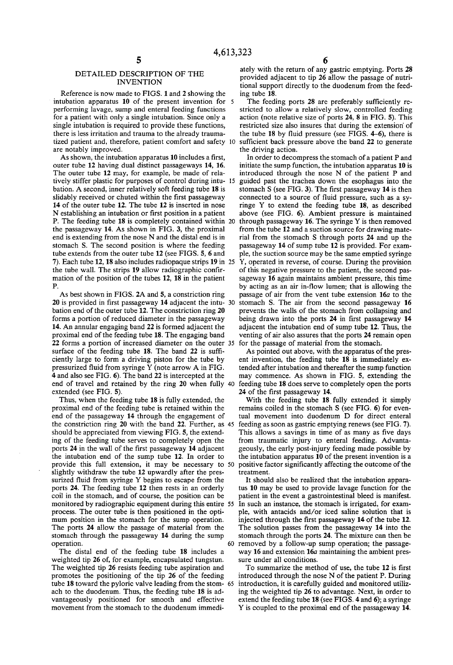# DETAILED DESCRIPTION OF THE INVENTION

Reference is now made to FIGS. 1 and 2 showing the intubation apparatus 10 of the present invention for performing lavage, sump and enteral feeding functions for a patient with only a single intubation. Since only a single intubation is required to provide these functions, there is less irritation and trauma to the already trauma tized patient and, therefore, patient comfort and safety 10<br>are notably improved.

As shown, the intubation apparatus 10 includes a first, outer tube 12 having dual distinct passageways 14, 16. The outer tube 12 may, for example, be made of rela tively stiffer plastic for purposes of control during intu bation. A second, inner relatively soft feeding tube 18 is slidably received or chuted within the first passageway 14 of the outer tube 12. The tube 12 is inserted in nose N establishing an intubation or first position in a patient P. The feeding tube 18 is completely contained within 20 the passageway 14. As shown in FIG. 3, the proximal end is extending from the nose N and the distal end is in stomach S. The second position is where the feeding tube extends from the outer tube 12 (see FIGS. 5, 6 and 7). Each tube 12, 18 also includes radiopaque strips 19 in 25 the tube wall. The strips 19 allow radiographic confirmation of the position of the tubes 12, 18 in the patient P.

As best shown in FIGS. 2A and 5, a constriction ring bation end of the outer tube 12. The constriction ring 20 forms a portion of reduced diameter in the passageway 14. An annular engaging band 22 is formed adjacent the proximal end of the feeding tube 18. The engaging band 22 forms a portion of increased diameter on the outer 35 for the passage of material from the stomach. surface of the feeding tube 18. The band 22 is sufficiently large to form a driving piston for the tube by pressurized fluid from syringe Y (note arrow A in FIG. 4 and also see FIG. 6). The band 22 is intercepted at the end of travel and retained by the ring 20 when fully feeding tube 18 does serve to completely open the ports extended (see FIG. 5).

Thus, when the feeding tube 18 is fully extended, the proximal end of the feeding tube is retained within the end of the passageway 14 through the engagement of the constriction ring 20 with the band 22. Further, as 45 feeding as soon as gastric emptying renews (see FIG. 7). should be appreciated from viewing FIG. 5, the extend ing of the feeding tube serves to completely open the ports 24 in the wall of the first passageway 14 adjacent the intubation end of the sump tube 12. In order to provide this full extension, it may be necessary to 50 slightly withdraw the tube 12 upwardly after the pres surized fluid from syringe Y begins to escape from the ports 24. The feeding tube 12 then rests in an orderly coil in the stomach, and of course, the position can be monitored by radiographic equipment during this entire 55 process. The outer tube is then positioned in the opti mum position in the stomach for the sump operation. The ports 24 allow the passage of material from the stomach through the passageway 14 during the sump operation.

The distal end of the feeding tube 18 includes a weighted tip 26 of, for example, encapsulated tungstun. The weighted tip 26 resists feeding tube aspiration and promotes the positioning of the tip 26 of the feeding tube 18 toward the pyloric valve leading from the stom- 65 ach to the duodenum. Thus, the feeding tube 18 is ad vantageously positioned for smooth and effective movement from the stomach to the duodenum immedi

ately with the return of any gastric emptying. Ports 28 provided adjacent to tip 26 allow the passage of nutri tional support directly to the duodenum from the feed ing tube 18.

The feeding ports 28 are preferably sufficiently restricted to allow a relatively slow, controlled feeding action (note relative size of ports 24, 8 in FIG. 5). This restricted size also insures that during the extension' of the tube 18 by fluid pressure (see FIGS. 4-6), there is sufficient back pressure above the band 22 to generate the driving action.

20 is provided in first passageway 14 adjacent the intu- 30 stomach S. The air from the second passageway 16 In order to decompress the stomach of a patient P and initiate the sump function, the intubation apparatus 10 is introduced through the nose N of the patient P and guided past the trachea down the esophagus into the stomach S (see FIG. 3). The first passageway  $14$  is then connected to a source of fluid pressure, such as a syringe Y to extend the feeding tube 18, as described above (see FIG. 6). Ambient pressure is maintained through passageway 16. The syringe Y is then removed from the tube 12 and a suction source for drawing mate rial from the stomach S through ports 24 and up the passageway 14 of sump tube 12 is provided. For exam ple, the suction source may be the same emptied syringe Y, operated in reverse, of course. During the provision of this negative pressure to the patient, the second pas sageway 16 again maintains ambient pressure, this time by acting as an air in-flow lumen; that is allowing the passage of air from the vent tube extension  $16a$  to the prevents the walls of the stomach from collapsing and being drawn into the ports 24 in first passageway 14 adjacent the intubation end of sump tube 12. Thus, the venting of air also assures that the ports 24 remain open

As pointed out above, with the apparatus of the present invention, the feeding tube 18 is immediately extended after intubation and thereafter the sump function may commence. As shown in FIG. 5, extending the 24 of the first passageway 14.

With the feeding tube 18 fully extended it simply remains coiled in the stomach S (see FIG. 6) for even tual movement into duodenum D for direct enteral This allows a savings in time of as many as five days from traumatic injury to enteral feeding. Advanta geously, the early post-injury feeding made possible by the intubation apparatus 10 of the present invention is a positive factor significantly affecting the outcome of the treatment.

It should also be realized that the intubation appara tus 10 may be used to provide lavage function for the patient in the event a gastrointestinal bleed is manifest. In such an instance, the stomach is irrigated, for example, with antacids and/or iced saline solution that is injected through the first passageway 14 of the tube 12. The solution passes from the passageway 14 into the stomach through the ports 24. The mixture can then be 60 removed by a follow-up sump operation; the passageway 16 and extension  $16a$  maintaining the ambient pressure under all conditions.

To summarize the method of use, the tube 12 is first introduced through the nose N of the patient P. During introduction, it is carefully guided and monitored utiliz ing the weighted tip 26 to advantage. Next, in order to extend the feeding tube 18 (see FIGS. 4 and 6); a syringe Y is coupled to the proximal end of the passageway 14.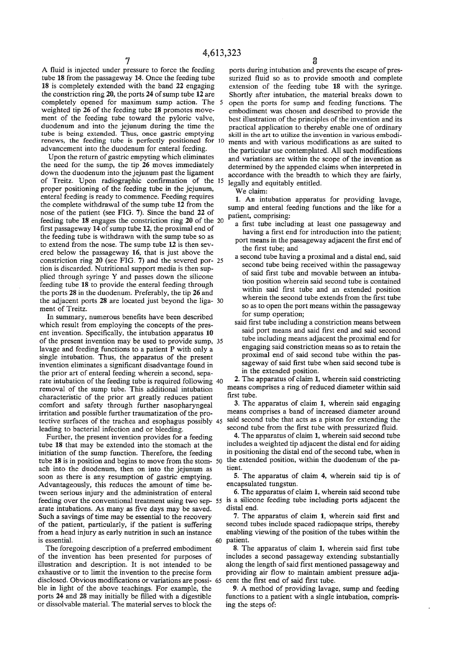A fluid is injected under pressure to force the feeding tube 18 from the passageway 14. Once the feeding tube 18 is completely extended with the band 22 engaging the constriction ring 20, the ports 24 of sump tube 12 are completely opened for maximum sump action. The 5 weighted tip 26 of the feeding tube 18 promotes move ment of the feeding tube toward the pyloric valve, duodenum and into the jejunum during the time the tube is being extended. Thus, once gastric emptying renews, the feeding tube is perfectly positioned for advancement into the duodenum for enteral feeding.

Upon the return of gastric empyting which eliminates the need for the sump, the tip 26 moves immediately down the duodenum into the jejunum past the ligament of Treitz. Upon radiographic confirmation of the 15 proper positioning of the feeding tube in the jejunum, enteral feeding is ready to commence. Feeding requires the complete withdrawal of the sump tube 12 from the nose of the patient (see FIG. 7). Since the band 22 of feeding tube 18 engages the constriction ring 20 of the 20 first passageway 14 of sump tube 12, the proximal end of the feeding tube is withdrawn with the sump tube so as to extend from the nose. The sump tube 12 is then sev ered below the passageway 16, that is just above the constriction ring  $20$  (see FIG. 7) and the severed por-  $25$ tion is discarded. Nutritional support media is then sup plied through syringe Y and passes down the silicone feeding tube 18 to provide the enteral feeding through the ports 28 in the duodenum. Preferably, the tip 26 and the adjacent ports 28 are located just beyond the liga ment of Treitz.

In summary, numerous benefits have been described which result from employing the concepts of the pres ent invention. Specifically, the intubation apparatus 10 of the present invention may be used to provide sump, 35 lavage and feeding functions to a patient P with only a single intubation. Thus, the apparatus of the present invention eliminates a significant disadvantage found in the prior art of enteral feeding wherein a second, sepa rate intubation of the feeding tube is required following 40 removal of the sump tube. This additional intubation characteristic of the prior art greatly reduces patient comfort and safety through further nasopharyngeal irritation and possible further traumatization of the pro tective surfaces of the trachea and esophagus possibly 45 said second tube that acts as a piston for extending the leading to bacterial infection and or bleeding.

Further, the present invention provides for a feeding tube 18 that may be extended into the stomach at the initiation of the sump function. Therefore, the feeding tube 18 is in position and begins to move from the stom-50 the extended position, within the duodenum of the paach into the duodenum, then on into the jejunum as soon as there is any resumption of gastric emptying. Advantageously, this reduces the amount of time be tween serious injury and the administration of enteral arate intubations. As many as five days may be saved. Such a savings of time may be essential to the recovery of the patient, particularly, if the patient is suffering from a head injury as early nutrition in such an instance is essential. 60

The foregoing description of a preferred embodiment of the invention has been presented for purposes of illustration and description. It is not intended to be exhaustive or to limit the invention to the precise form disclosed. Obvious modifications or variations are possi- 65 ble in light of the above teachings. For example, the ports 24 and 28 may initially be filled with a digestible or dissolvable material. The material serves to block the

ports during intubation and prevents the escape of pres surized fluid so as to provide smooth and complete extension of the feeding tube 18 with the syringe. Shortly after intubation, the material breaks down to open the ports for sump and feeding functions. The embodiment was chosen and described to provide the best illustration of the principles of the invention and its practical application to thereby enable one of ordinary skill in the art to utilize the invention in various embodi ments and with various modifications as are suited to the particular use contemplated. All such modifications and variations are within the scope of the invention as determined by the appended claims when interpreted in accordance with the breadth to which they are fairly, legally and equitably entitled.

We claim:

1. An intubation apparatus for providing lavage, sump and enteral feeding functions and the like for a patient, comprising:

- a first tube including at least one passageway and having a first end for introduction into the patient;
- port means in the passageway adjacent the first end of the first tube; and
- a second tube having a proximal and a distal end, said second tube being received within the passageway of said first tube and movable between an intubation position wherein said second tube is contained within said first tube and an extended position wherein the second tube extends from the first tube so as to open the port means within the passageway for sump operation;
- said first tube including a constriction means between said port means and said first end and said second tube including means adjacent the proximal end for engaging said constriction means so as to retain the proximal end of said second tube within the pas sageway of said first tube when said second tube is in the extended position.

2. The apparatus of claim 1, wherein said constricting means comprises a ring of reduced diameter within said first tube.

3. The apparatus of claim 1, wherein said engaging means comprises a band of increased diameter around second tube from the first tube with pressurized fluid.

4. The apparatus of claim 1, wherein said second tube includes a weighted tip adjacent the distal end for aiding in positioning the distal end of the second tube, when in tient.

5. The apparatus of claim 4, wherein said tip is of encapsulated tungstun.

feeding over the conventional treatment using two sep- 55 is a silicone feeding tube including ports adjacent the 6. The apparatus of claim 1, wherein said second tube distal end.

> 7. The apparatus of claim 1, wherein said first and second tubes include spaced radiopaque strips, thereby enabling viewing of the position of the tubes within the patient.

> 8. The apparatus of claim 1, wherein said first tube includes a second passageway extending substantially along the length of said first mentioned passageway and providing air flow to maintain ambient pressure adjacent the first end of said first tube.

> 9. A method of providing lavage, sump and feeding functions to a patient with a single intubation, compris ing the steps of: